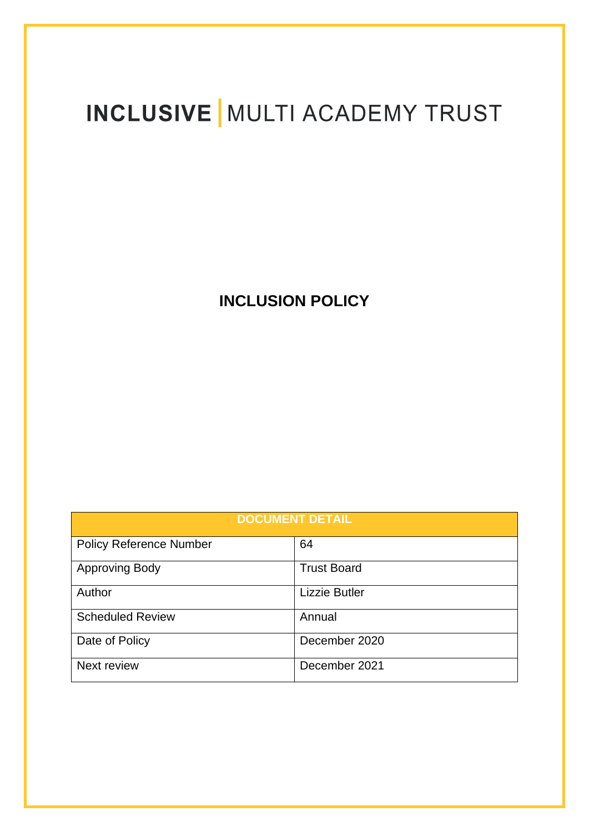# **INCLUSIVE | MULTI ACADEMY TRUST**

# **INCLUSION POLICY**

| <b>DOCUMENT DETAIL</b>         |                      |  |
|--------------------------------|----------------------|--|
| <b>Policy Reference Number</b> | 64                   |  |
| <b>Approving Body</b>          | <b>Trust Board</b>   |  |
| Author                         | <b>Lizzie Butler</b> |  |
| <b>Scheduled Review</b>        | Annual               |  |
| Date of Policy                 | December 2020        |  |
| Next review                    | December 2021        |  |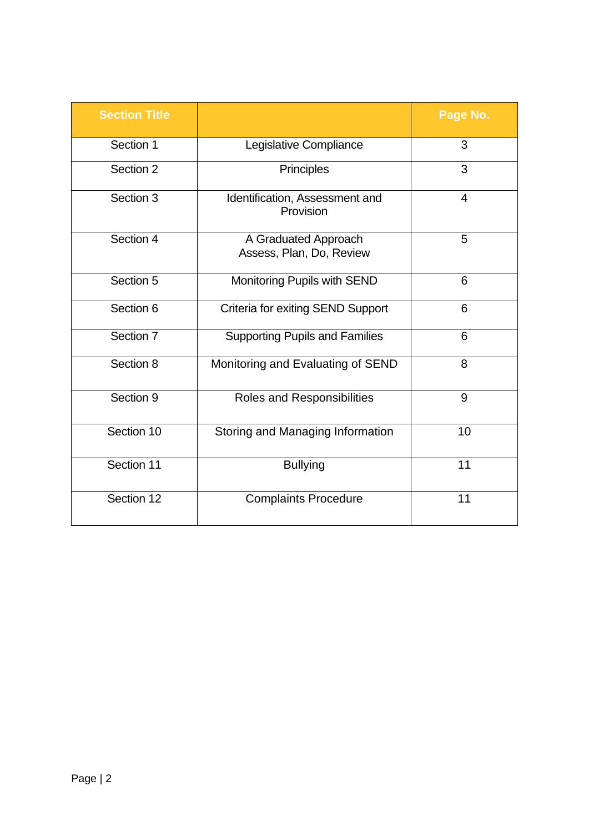| <b>Section Title</b> |                                                  | Page No. |
|----------------------|--------------------------------------------------|----------|
| Section 1            | Legislative Compliance                           | 3        |
| Section 2            | Principles                                       | 3        |
| Section 3            | Identification, Assessment and<br>Provision      | 4        |
| Section 4            | A Graduated Approach<br>Assess, Plan, Do, Review | 5        |
| Section 5            | Monitoring Pupils with SEND                      | 6        |
| Section 6            | <b>Criteria for exiting SEND Support</b>         | 6        |
| Section 7            | <b>Supporting Pupils and Families</b>            | 6        |
| Section 8            | Monitoring and Evaluating of SEND                | 8        |
| Section 9            | Roles and Responsibilities                       | 9        |
| Section 10           | Storing and Managing Information                 | 10       |
| Section 11           | <b>Bullying</b>                                  | 11       |
| Section 12           | <b>Complaints Procedure</b>                      | 11       |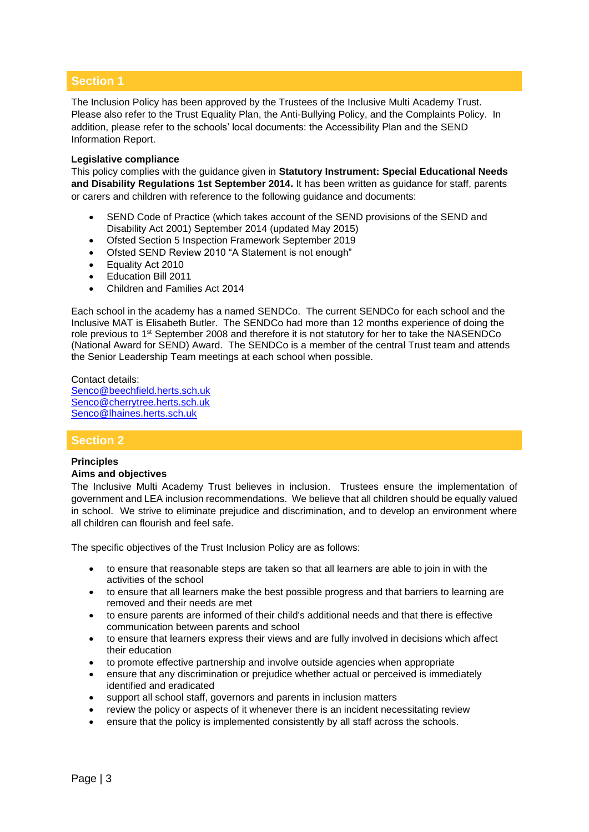# **Section 1**

The Inclusion Policy has been approved by the Trustees of the Inclusive Multi Academy Trust. Please also refer to the Trust Equality Plan, the Anti-Bullying Policy, and the Complaints Policy. In addition, please refer to the schools' local documents: the Accessibility Plan and the SEND Information Report.

#### **Legislative compliance**

This policy complies with the guidance given in **Statutory Instrument: Special Educational Needs and Disability Regulations 1st September 2014.** It has been written as guidance for staff, parents or carers and children with reference to the following guidance and documents:

- SEND Code of Practice (which takes account of the SEND provisions of the SEND and Disability Act 2001) September 2014 (updated May 2015)
- Ofsted Section 5 Inspection Framework September 2019
- Ofsted SEND Review 2010 "A Statement is not enough"
- Equality Act 2010
- Education Bill 2011
- Children and Families Act 2014

Each school in the academy has a named SENDCo. The current SENDCo for each school and the Inclusive MAT is Elisabeth Butler. The SENDCo had more than 12 months experience of doing the role previous to 1<sup>st</sup> September 2008 and therefore it is not statutory for her to take the NASENDCo (National Award for SEND) Award. The SENDCo is a member of the central Trust team and attends the Senior Leadership Team meetings at each school when possible.

Contact details: [Senco@beechfield.herts.sch.uk](mailto:Senco@beechfield.herts.sch.uk) [Senco@cherrytree.herts.sch.uk](mailto:Senco@cherrytree.herts.sch.uk) [Senco@lhaines.herts.sch.uk](mailto:Senco@lhaines.herts.sch.uk)

#### **Section 2**

#### **Principles**

#### **Aims and objectives**

The Inclusive Multi Academy Trust believes in inclusion. Trustees ensure the implementation of government and LEA inclusion recommendations. We believe that all children should be equally valued in school. We strive to eliminate prejudice and discrimination, and to develop an environment where all children can flourish and feel safe.

The specific objectives of the Trust Inclusion Policy are as follows:

- to ensure that reasonable steps are taken so that all learners are able to join in with the activities of the school
- to ensure that all learners make the best possible progress and that barriers to learning are removed and their needs are met
- to ensure parents are informed of their child's additional needs and that there is effective communication between parents and school
- to ensure that learners express their views and are fully involved in decisions which affect their education
- to promote effective partnership and involve outside agencies when appropriate
- ensure that any discrimination or prejudice whether actual or perceived is immediately identified and eradicated
- support all school staff, governors and parents in inclusion matters
- review the policy or aspects of it whenever there is an incident necessitating review
- ensure that the policy is implemented consistently by all staff across the schools.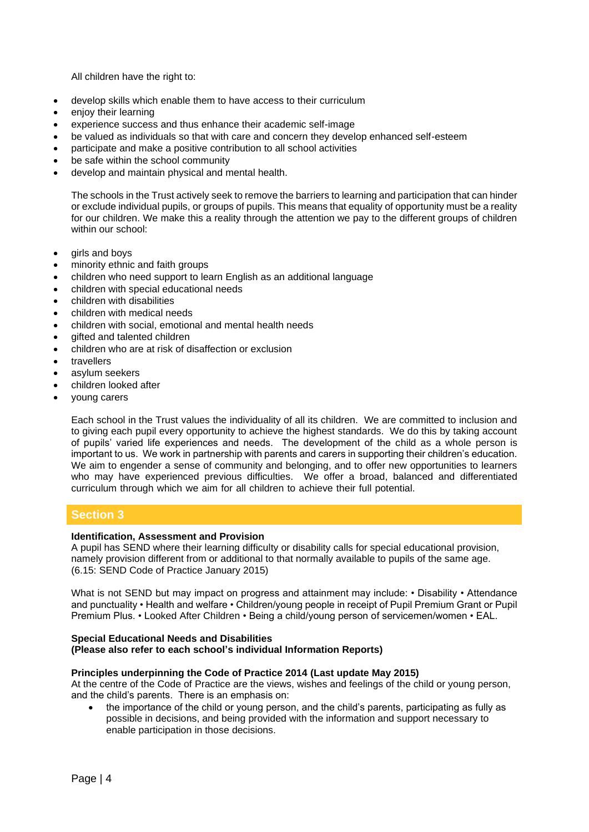All children have the right to:

- develop skills which enable them to have access to their curriculum
- enjoy their learning
- experience success and thus enhance their academic self-image
- be valued as individuals so that with care and concern they develop enhanced self-esteem
- participate and make a positive contribution to all school activities
- be safe within the school community
- develop and maintain physical and mental health.

The schools in the Trust actively seek to remove the barriers to learning and participation that can hinder or exclude individual pupils, or groups of pupils. This means that equality of opportunity must be a reality for our children. We make this a reality through the attention we pay to the different groups of children within our school:

- girls and boys
- minority ethnic and faith groups
- children who need support to learn English as an additional language
- children with special educational needs
- children with disabilities
- children with medical needs
- children with social, emotional and mental health needs
- gifted and talented children
- children who are at risk of disaffection or exclusion
- **travellers**
- asylum seekers
- children looked after
- young carers

Each school in the Trust values the individuality of all its children. We are committed to inclusion and to giving each pupil every opportunity to achieve the highest standards. We do this by taking account of pupils' varied life experiences and needs. The development of the child as a whole person is important to us. We work in partnership with parents and carers in supporting their children's education. We aim to engender a sense of community and belonging, and to offer new opportunities to learners who may have experienced previous difficulties. We offer a broad, balanced and differentiated curriculum through which we aim for all children to achieve their full potential.

# **Section 3**

#### **Identification, Assessment and Provision**

A pupil has SEND where their learning difficulty or disability calls for special educational provision, namely provision different from or additional to that normally available to pupils of the same age. (6.15: SEND Code of Practice January 2015)

What is not SEND but may impact on progress and attainment may include: • Disability • Attendance and punctuality • Health and welfare • Children/young people in receipt of Pupil Premium Grant or Pupil Premium Plus. • Looked After Children • Being a child/young person of servicemen/women • EAL.

#### **Special Educational Needs and Disabilities (Please also refer to each school's individual Information Reports)**

#### **Principles underpinning the Code of Practice 2014 (Last update May 2015)**

At the centre of the Code of Practice are the views, wishes and feelings of the child or young person, and the child's parents. There is an emphasis on:

• the importance of the child or young person, and the child's parents, participating as fully as possible in decisions, and being provided with the information and support necessary to enable participation in those decisions.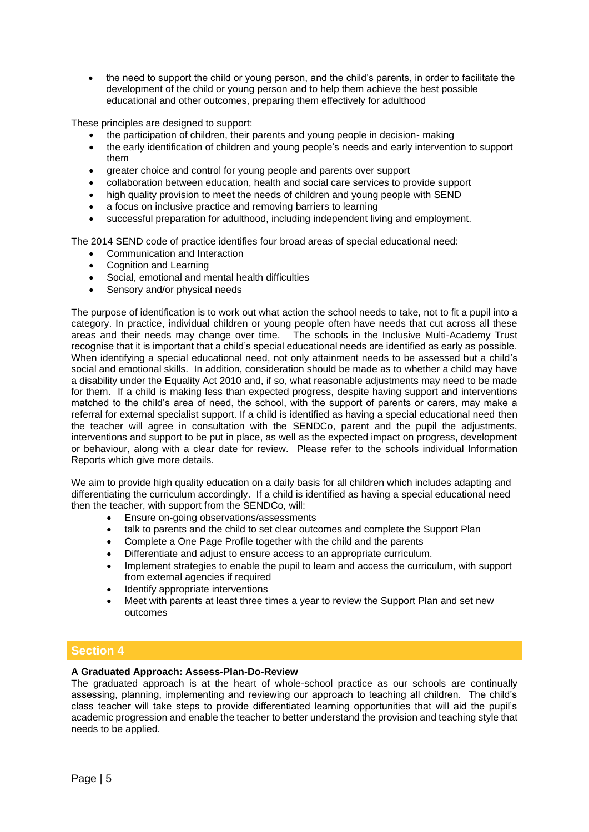• the need to support the child or young person, and the child's parents, in order to facilitate the development of the child or young person and to help them achieve the best possible educational and other outcomes, preparing them effectively for adulthood

These principles are designed to support:

- the participation of children, their parents and young people in decision- making
- the early identification of children and young people's needs and early intervention to support them
- greater choice and control for young people and parents over support
- collaboration between education, health and social care services to provide support
- high quality provision to meet the needs of children and young people with SEND
- a focus on inclusive practice and removing barriers to learning
- successful preparation for adulthood, including independent living and employment.

The 2014 SEND code of practice identifies four broad areas of special educational need:

- Communication and Interaction
- Cognition and Learning
- Social, emotional and mental health difficulties
- Sensory and/or physical needs

The purpose of identification is to work out what action the school needs to take, not to fit a pupil into a category. In practice, individual children or young people often have needs that cut across all these areas and their needs may change over time. The schools in the Inclusive Multi-Academy Trust recognise that it is important that a child's special educational needs are identified as early as possible. When identifying a special educational need, not only attainment needs to be assessed but a child's social and emotional skills. In addition, consideration should be made as to whether a child may have a disability under the Equality Act 2010 and, if so, what reasonable adjustments may need to be made for them. If a child is making less than expected progress, despite having support and interventions matched to the child's area of need, the school, with the support of parents or carers, may make a referral for external specialist support. If a child is identified as having a special educational need then the teacher will agree in consultation with the SENDCo, parent and the pupil the adjustments, interventions and support to be put in place, as well as the expected impact on progress, development or behaviour, along with a clear date for review. Please refer to the schools individual Information Reports which give more details.

We aim to provide high quality education on a daily basis for all children which includes adapting and differentiating the curriculum accordingly. If a child is identified as having a special educational need then the teacher, with support from the SENDCo, will:

- Ensure on-going observations/assessments
- talk to parents and the child to set clear outcomes and complete the Support Plan
- Complete a One Page Profile together with the child and the parents
- Differentiate and adjust to ensure access to an appropriate curriculum.
- Implement strategies to enable the pupil to learn and access the curriculum, with support from external agencies if required
- Identify appropriate interventions
- Meet with parents at least three times a year to review the Support Plan and set new outcomes

# **Section 4**

#### **A Graduated Approach: Assess-Plan-Do-Review**

The graduated approach is at the heart of whole-school practice as our schools are continually assessing, planning, implementing and reviewing our approach to teaching all children. The child's class teacher will take steps to provide differentiated learning opportunities that will aid the pupil's academic progression and enable the teacher to better understand the provision and teaching style that needs to be applied.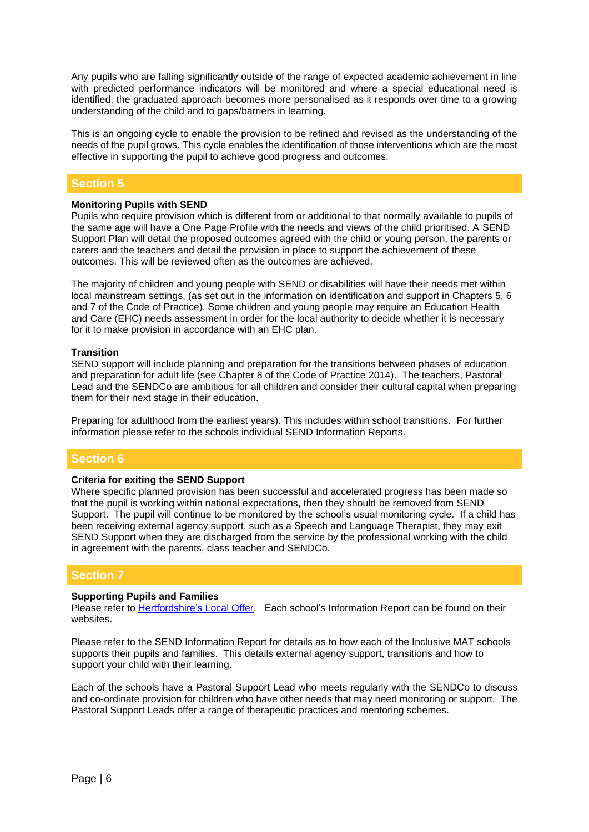Any pupils who are falling significantly outside of the range of expected academic achievement in line with predicted performance indicators will be monitored and where a special educational need is identified, the graduated approach becomes more personalised as it responds over time to a growing understanding of the child and to gaps/barriers in learning.

This is an ongoing cycle to enable the provision to be refined and revised as the understanding of the needs of the pupil grows. This cycle enables the identification of those interventions which are the most effective in supporting the pupil to achieve good progress and outcomes.

# **Section 5**

#### **Monitoring Pupils with SEND**

Pupils who require provision which is different from or additional to that normally available to pupils of the same age will have a One Page Profile with the needs and views of the child prioritised. A SEND Support Plan will detail the proposed outcomes agreed with the child or young person, the parents or carers and the teachers and detail the provision in place to support the achievement of these outcomes. This will be reviewed often as the outcomes are achieved.

The majority of children and young people with SEND or disabilities will have their needs met within local mainstream settings, (as set out in the information on identification and support in Chapters 5, 6 and 7 of the Code of Practice). Some children and young people may require an Education Health and Care (EHC) needs assessment in order for the local authority to decide whether it is necessary for it to make provision in accordance with an EHC plan.

#### **Transition**

SEND support will include planning and preparation for the transitions between phases of education and preparation for adult life (see Chapter 8 of the Code of Practice 2014). The teachers, Pastoral Lead and the SENDCo are ambitious for all children and consider their cultural capital when preparing them for their next stage in their education.

Preparing for adulthood from the earliest years). This includes within school transitions. For further information please refer to the schools individual SEND Information Reports.

# **Section 6**

#### **Criteria for exiting the SEND Support**

Where specific planned provision has been successful and accelerated progress has been made so that the pupil is working within national expectations, then they should be removed from SEND Support. The pupil will continue to be monitored by the school's usual monitoring cycle. If a child has been receiving external agency support, such as a Speech and Language Therapist, they may exit SEND Support when they are discharged from the service by the professional working with the child in agreement with the parents, class teacher and SENDCo.

#### **Section 7**

#### **Supporting Pupils and Families**

Please refer to [Hertfordshire's](https://www.hertfordshire.gov.uk/microsites/local-offer/the-hertfordshire-local-offer.aspx) Local Offer. Each school's Information Report can be found on their websites.

Please refer to the SEND Information Report for details as to how each of the Inclusive MAT schools supports their pupils and families. This details external agency support, transitions and how to support your child with their learning.

Each of the schools have a Pastoral Support Lead who meets regularly with the SENDCo to discuss and co-ordinate provision for children who have other needs that may need monitoring or support. The Pastoral Support Leads offer a range of therapeutic practices and mentoring schemes.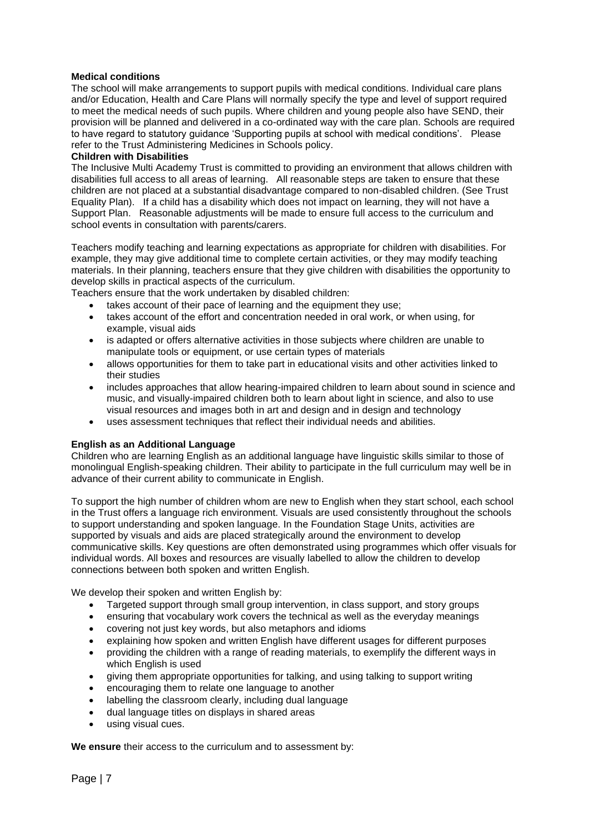#### **Medical conditions**

The school will make arrangements to support pupils with medical conditions. Individual care plans and/or Education, Health and Care Plans will normally specify the type and level of support required to meet the medical needs of such pupils. Where children and young people also have SEND, their provision will be planned and delivered in a co-ordinated way with the care plan. Schools are required to have regard to statutory guidance 'Supporting pupils at school with medical conditions'. Please refer to the Trust Administering Medicines in Schools policy.

#### **Children with Disabilities**

The Inclusive Multi Academy Trust is committed to providing an environment that allows children with disabilities full access to all areas of learning. All reasonable steps are taken to ensure that these children are not placed at a substantial disadvantage compared to non-disabled children. (See Trust Equality Plan). If a child has a disability which does not impact on learning, they will not have a Support Plan. Reasonable adjustments will be made to ensure full access to the curriculum and school events in consultation with parents/carers.

Teachers modify teaching and learning expectations as appropriate for children with disabilities. For example, they may give additional time to complete certain activities, or they may modify teaching materials. In their planning, teachers ensure that they give children with disabilities the opportunity to develop skills in practical aspects of the curriculum.

Teachers ensure that the work undertaken by disabled children:

- takes account of their pace of learning and the equipment they use;
- takes account of the effort and concentration needed in oral work, or when using, for example, visual aids
- is adapted or offers alternative activities in those subjects where children are unable to manipulate tools or equipment, or use certain types of materials
- allows opportunities for them to take part in educational visits and other activities linked to their studies
- includes approaches that allow hearing-impaired children to learn about sound in science and music, and visually-impaired children both to learn about light in science, and also to use visual resources and images both in art and design and in design and technology
- uses assessment techniques that reflect their individual needs and abilities.

#### **English as an Additional Language**

Children who are learning English as an additional language have linguistic skills similar to those of monolingual English-speaking children. Their ability to participate in the full curriculum may well be in advance of their current ability to communicate in English.

To support the high number of children whom are new to English when they start school, each school in the Trust offers a language rich environment. Visuals are used consistently throughout the schools to support understanding and spoken language. In the Foundation Stage Units, activities are supported by visuals and aids are placed strategically around the environment to develop communicative skills. Key questions are often demonstrated using programmes which offer visuals for individual words. All boxes and resources are visually labelled to allow the children to develop connections between both spoken and written English.

We develop their spoken and written English by:

- Targeted support through small group intervention, in class support, and story groups
- ensuring that vocabulary work covers the technical as well as the everyday meanings
- covering not just key words, but also metaphors and idioms
- explaining how spoken and written English have different usages for different purposes
- providing the children with a range of reading materials, to exemplify the different ways in which English is used
- giving them appropriate opportunities for talking, and using talking to support writing
- encouraging them to relate one language to another
- labelling the classroom clearly, including dual language
- dual language titles on displays in shared areas
- using visual cues.

**We ensure** their access to the curriculum and to assessment by: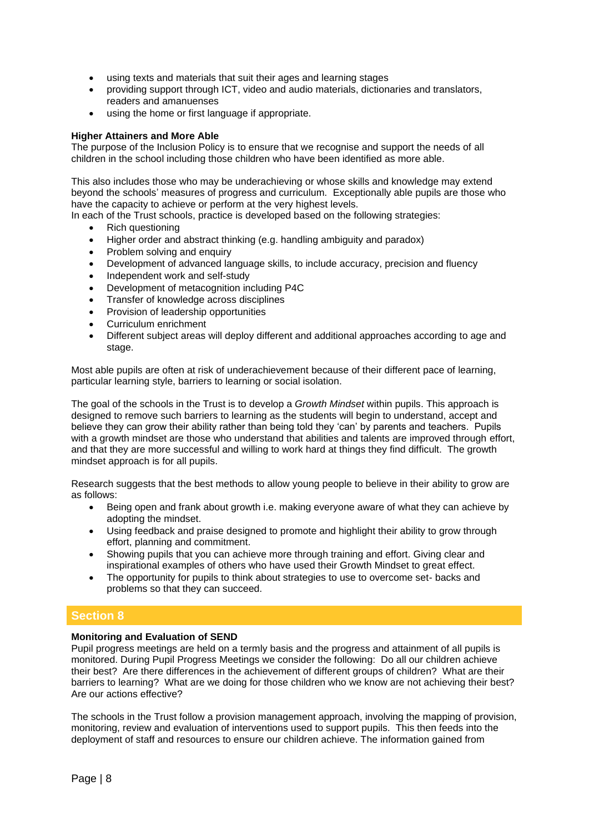- using texts and materials that suit their ages and learning stages
- providing support through ICT, video and audio materials, dictionaries and translators, readers and amanuenses
- using the home or first language if appropriate.

#### **Higher Attainers and More Able**

The purpose of the Inclusion Policy is to ensure that we recognise and support the needs of all children in the school including those children who have been identified as more able.

This also includes those who may be underachieving or whose skills and knowledge may extend beyond the schools' measures of progress and curriculum. Exceptionally able pupils are those who have the capacity to achieve or perform at the very highest levels.

In each of the Trust schools, practice is developed based on the following strategies:

- Rich questioning
- Higher order and abstract thinking (e.g. handling ambiguity and paradox)
- Problem solving and enquiry
- Development of advanced language skills, to include accuracy, precision and fluency
- Independent work and self-study
- Development of metacognition including P4C
- Transfer of knowledge across disciplines
- Provision of leadership opportunities
- Curriculum enrichment
- Different subject areas will deploy different and additional approaches according to age and stage.

Most able pupils are often at risk of underachievement because of their different pace of learning, particular learning style, barriers to learning or social isolation.

The goal of the schools in the Trust is to develop a *Growth Mindset* within pupils. This approach is designed to remove such barriers to learning as the students will begin to understand, accept and believe they can grow their ability rather than being told they 'can' by parents and teachers. Pupils with a growth mindset are those who understand that abilities and talents are improved through effort, and that they are more successful and willing to work hard at things they find difficult. The growth mindset approach is for all pupils.

Research suggests that the best methods to allow young people to believe in their ability to grow are as follows:

- Being open and frank about growth i.e. making everyone aware of what they can achieve by adopting the mindset.
- Using feedback and praise designed to promote and highlight their ability to grow through effort, planning and commitment.
- Showing pupils that you can achieve more through training and effort. Giving clear and inspirational examples of others who have used their Growth Mindset to great effect.
- The opportunity for pupils to think about strategies to use to overcome set- backs and problems so that they can succeed.

# **Section 8**

#### **Monitoring and Evaluation of SEND**

Pupil progress meetings are held on a termly basis and the progress and attainment of all pupils is monitored. During Pupil Progress Meetings we consider the following: Do all our children achieve their best? Are there differences in the achievement of different groups of children? What are their barriers to learning? What are we doing for those children who we know are not achieving their best? Are our actions effective?

The schools in the Trust follow a provision management approach, involving the mapping of provision, monitoring, review and evaluation of interventions used to support pupils. This then feeds into the deployment of staff and resources to ensure our children achieve. The information gained from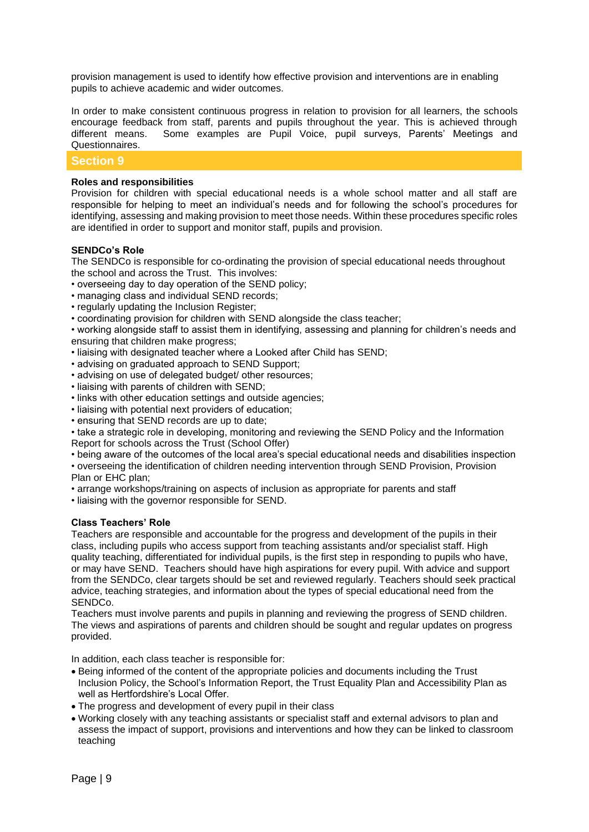provision management is used to identify how effective provision and interventions are in enabling pupils to achieve academic and wider outcomes.

In order to make consistent continuous progress in relation to provision for all learners, the schools encourage feedback from staff, parents and pupils throughout the year. This is achieved through different means. Some examples are Pupil Voice, pupil surveys, Parents' Meetings and Questionnaires.

### **Section 9**

#### **Roles and responsibilities**

Provision for children with special educational needs is a whole school matter and all staff are responsible for helping to meet an individual's needs and for following the school's procedures for identifying, assessing and making provision to meet those needs. Within these procedures specific roles are identified in order to support and monitor staff, pupils and provision.

#### **SENDCo's Role**

The SENDCo is responsible for co-ordinating the provision of special educational needs throughout the school and across the Trust. This involves:

- overseeing day to day operation of the SEND policy;
- managing class and individual SEND records;
- regularly updating the Inclusion Register;
- coordinating provision for children with SEND alongside the class teacher;

• working alongside staff to assist them in identifying, assessing and planning for children's needs and ensuring that children make progress;

- liaising with designated teacher where a Looked after Child has SEND;
- advising on graduated approach to SEND Support:
- advising on use of delegated budget/ other resources;
- liaising with parents of children with SEND;
- links with other education settings and outside agencies;
- liaising with potential next providers of education;
- ensuring that SEND records are up to date;

• take a strategic role in developing, monitoring and reviewing the SEND Policy and the Information Report for schools across the Trust (School Offer)

• being aware of the outcomes of the local area's special educational needs and disabilities inspection

• overseeing the identification of children needing intervention through SEND Provision, Provision Plan or EHC plan;

• arrange workshops/training on aspects of inclusion as appropriate for parents and staff

• liaising with the governor responsible for SEND.

#### **Class Teachers' Role**

Teachers are responsible and accountable for the progress and development of the pupils in their class, including pupils who access support from teaching assistants and/or specialist staff. High quality teaching, differentiated for individual pupils, is the first step in responding to pupils who have, or may have SEND. Teachers should have high aspirations for every pupil. With advice and support from the SENDCo, clear targets should be set and reviewed regularly. Teachers should seek practical advice, teaching strategies, and information about the types of special educational need from the SENDCo.

Teachers must involve parents and pupils in planning and reviewing the progress of SEND children. The views and aspirations of parents and children should be sought and regular updates on progress provided.

In addition, each class teacher is responsible for:

- Being informed of the content of the appropriate policies and documents including the Trust Inclusion Policy, the School's Information Report, the Trust Equality Plan and Accessibility Plan as well as Hertfordshire's Local Offer.
- The progress and development of every pupil in their class
- Working closely with any teaching assistants or specialist staff and external advisors to plan and assess the impact of support, provisions and interventions and how they can be linked to classroom teaching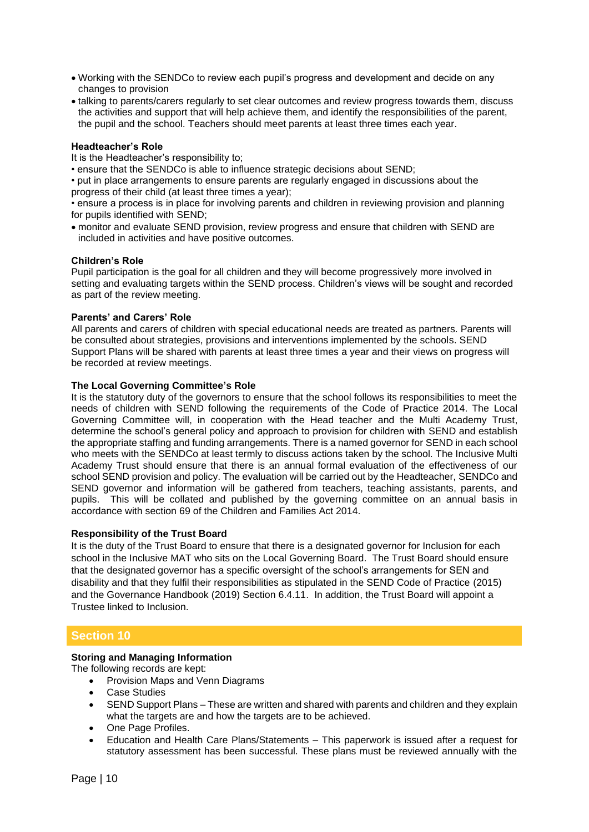- Working with the SENDCo to review each pupil's progress and development and decide on any changes to provision
- talking to parents/carers regularly to set clear outcomes and review progress towards them, discuss the activities and support that will help achieve them, and identify the responsibilities of the parent, the pupil and the school. Teachers should meet parents at least three times each year.

#### **Headteacher's Role**

It is the Headteacher's responsibility to;

• ensure that the SENDCo is able to influence strategic decisions about SEND;

• put in place arrangements to ensure parents are regularly engaged in discussions about the progress of their child (at least three times a year);

• ensure a process is in place for involving parents and children in reviewing provision and planning for pupils identified with SEND;

• monitor and evaluate SEND provision, review progress and ensure that children with SEND are included in activities and have positive outcomes.

#### **Children's Role**

Pupil participation is the goal for all children and they will become progressively more involved in setting and evaluating targets within the SEND process. Children's views will be sought and recorded as part of the review meeting.

#### **Parents' and Carers' Role**

All parents and carers of children with special educational needs are treated as partners. Parents will be consulted about strategies, provisions and interventions implemented by the schools. SEND Support Plans will be shared with parents at least three times a year and their views on progress will be recorded at review meetings.

#### **The Local Governing Committee's Role**

It is the statutory duty of the governors to ensure that the school follows its responsibilities to meet the needs of children with SEND following the requirements of the Code of Practice 2014. The Local Governing Committee will, in cooperation with the Head teacher and the Multi Academy Trust, determine the school's general policy and approach to provision for children with SEND and establish the appropriate staffing and funding arrangements. There is a named governor for SEND in each school who meets with the SENDCo at least termly to discuss actions taken by the school. The Inclusive Multi Academy Trust should ensure that there is an annual formal evaluation of the effectiveness of our school SEND provision and policy. The evaluation will be carried out by the Headteacher, SENDCo and SEND governor and information will be gathered from teachers, teaching assistants, parents, and pupils. This will be collated and published by the governing committee on an annual basis in accordance with section 69 of the Children and Families Act 2014.

#### **Responsibility of the Trust Board**

It is the duty of the Trust Board to ensure that there is a designated governor for Inclusion for each school in the Inclusive MAT who sits on the Local Governing Board. The Trust Board should ensure that the designated governor has a specific oversight of the school's arrangements for SEN and disability and that they fulfil their responsibilities as stipulated in the SEND Code of Practice (2015) and the Governance Handbook (2019) Section 6.4.11. In addition, the Trust Board will appoint a Trustee linked to Inclusion.

# **Section 10**

#### **Storing and Managing Information**

The following records are kept:

- Provision Maps and Venn Diagrams
- **Case Studies**
- SEND Support Plans These are written and shared with parents and children and they explain what the targets are and how the targets are to be achieved.
- One Page Profiles.
- Education and Health Care Plans/Statements This paperwork is issued after a request for statutory assessment has been successful. These plans must be reviewed annually with the